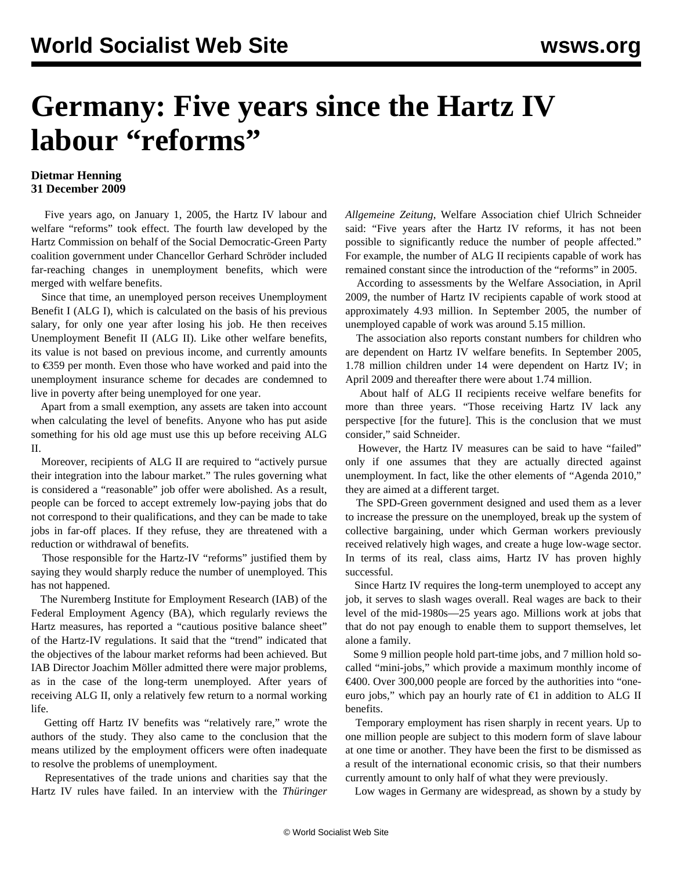## **Germany: Five years since the Hartz IV labour "reforms"**

## **Dietmar Henning 31 December 2009**

 Five years ago, on January 1, 2005, the Hartz IV labour and welfare "reforms" took effect. The fourth law developed by the Hartz Commission on behalf of the Social Democratic-Green Party coalition government under Chancellor Gerhard Schröder included far-reaching changes in unemployment benefits, which were merged with welfare benefits.

 Since that time, an unemployed person receives Unemployment Benefit I (ALG I), which is calculated on the basis of his previous salary, for only one year after losing his job. He then receives Unemployment Benefit II (ALG II). Like other welfare benefits, its value is not based on previous income, and currently amounts to €359 per month. Even those who have worked and paid into the unemployment insurance scheme for decades are condemned to live in poverty after being unemployed for one year.

 Apart from a small exemption, any assets are taken into account when calculating the level of benefits. Anyone who has put aside something for his old age must use this up before receiving ALG II.

 Moreover, recipients of ALG II are required to "actively pursue their integration into the labour market." The rules governing what is considered a "reasonable" job offer were abolished. As a result, people can be forced to accept extremely low-paying jobs that do not correspond to their qualifications, and they can be made to take jobs in far-off places. If they refuse, they are threatened with a reduction or withdrawal of benefits.

 Those responsible for the Hartz-IV "reforms" justified them by saying they would sharply reduce the number of unemployed. This has not happened.

 The Nuremberg Institute for Employment Research (IAB) of the Federal Employment Agency (BA), which regularly reviews the Hartz measures, has reported a "cautious positive balance sheet" of the Hartz-IV regulations. It said that the "trend" indicated that the objectives of the labour market reforms had been achieved. But IAB Director Joachim Möller admitted there were major problems, as in the case of the long-term unemployed. After years of receiving ALG II, only a relatively few return to a normal working life.

 Getting off Hartz IV benefits was "relatively rare," wrote the authors of the study. They also came to the conclusion that the means utilized by the employment officers were often inadequate to resolve the problems of unemployment.

 Representatives of the trade unions and charities say that the Hartz IV rules have failed. In an interview with the *Thüringer* *Allgemeine Zeitung*, Welfare Association chief Ulrich Schneider said: "Five years after the Hartz IV reforms, it has not been possible to significantly reduce the number of people affected." For example, the number of ALG II recipients capable of work has remained constant since the introduction of the "reforms" in 2005.

 According to assessments by the Welfare Association, in April 2009, the number of Hartz IV recipients capable of work stood at approximately 4.93 million. In September 2005, the number of unemployed capable of work was around 5.15 million.

 The association also reports constant numbers for children who are dependent on Hartz IV welfare benefits. In September 2005, 1.78 million children under 14 were dependent on Hartz IV; in April 2009 and thereafter there were about 1.74 million.

 About half of ALG II recipients receive welfare benefits for more than three years. "Those receiving Hartz IV lack any perspective [for the future]. This is the conclusion that we must consider," said Schneider.

 However, the Hartz IV measures can be said to have "failed" only if one assumes that they are actually directed against unemployment. In fact, like the other elements of "Agenda 2010," they are aimed at a different target.

 The SPD-Green government designed and used them as a lever to increase the pressure on the unemployed, break up the system of collective bargaining, under which German workers previously received relatively high wages, and create a huge low-wage sector. In terms of its real, class aims, Hartz IV has proven highly successful.

 Since Hartz IV requires the long-term unemployed to accept any job, it serves to slash wages overall. Real wages are back to their level of the mid-1980s—25 years ago. Millions work at jobs that that do not pay enough to enable them to support themselves, let alone a family.

 Some 9 million people hold part-time jobs, and 7 million hold socalled "mini-jobs," which provide a maximum monthly income of €400. Over 300,000 people are forced by the authorities into "oneeuro jobs," which pay an hourly rate of  $\epsilon$ 1 in addition to ALG II benefits.

 Temporary employment has risen sharply in recent years. Up to one million people are subject to this modern form of slave labour at one time or another. They have been the first to be dismissed as a result of the international economic crisis, so that their numbers currently amount to only half of what they were previously.

Low wages in Germany are widespread, as shown by a study by